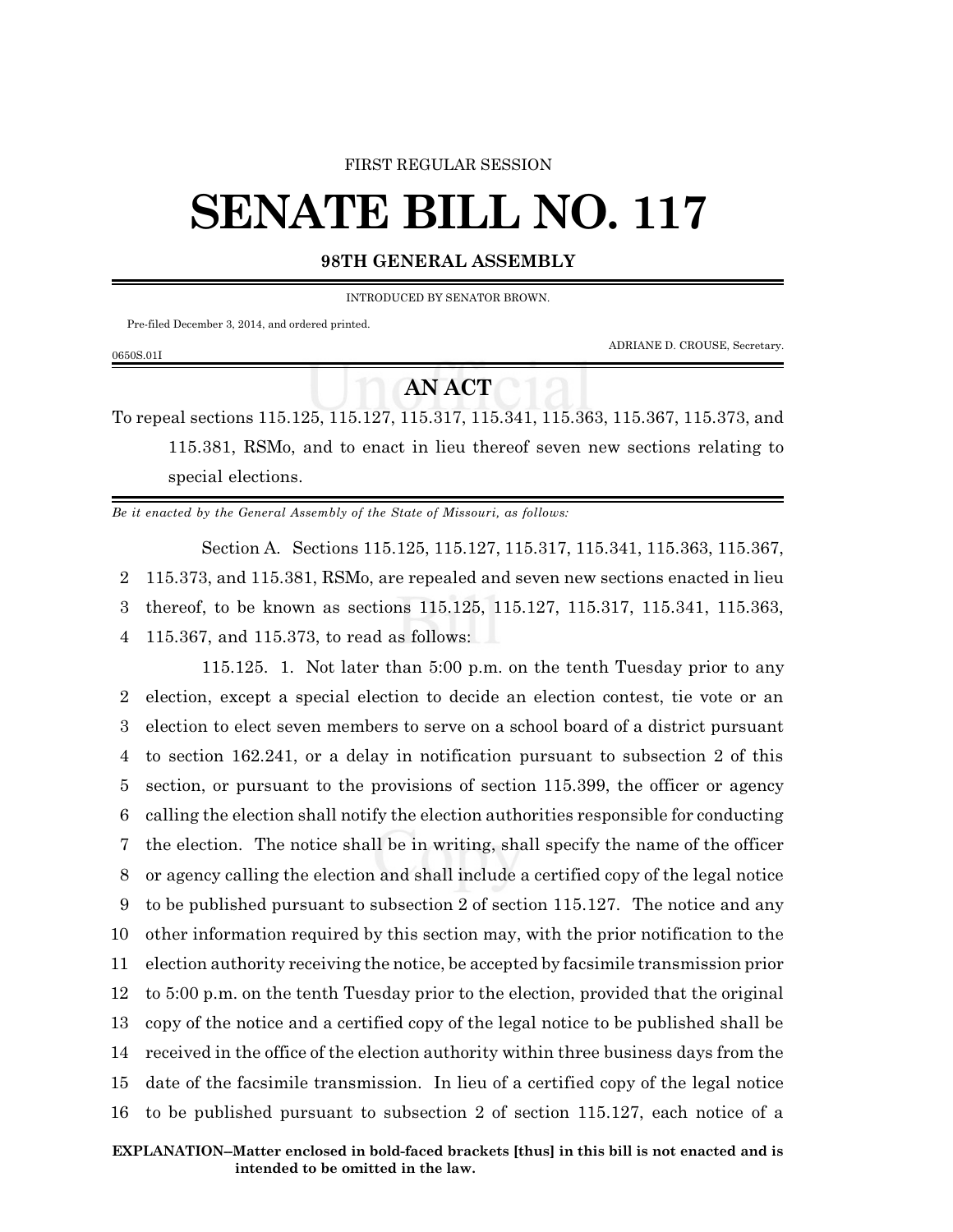## FIRST REGULAR SESSION

## **SENATE BILL NO. 117**

## **98TH GENERAL ASSEMBLY**

INTRODUCED BY SENATOR BROWN.

Pre-filed December 3, 2014, and ordered printed.

0650S.01I

ADRIANE D. CROUSE, Secretary.

## **AN ACT**

To repeal sections 115.125, 115.127, 115.317, 115.341, 115.363, 115.367, 115.373, and 115.381, RSMo, and to enact in lieu thereof seven new sections relating to special elections.

*Be it enacted by the General Assembly of the State of Missouri, as follows:*

Section A. Sections 115.125, 115.127, 115.317, 115.341, 115.363, 115.367, 115.373, and 115.381, RSMo, are repealed and seven new sections enacted in lieu thereof, to be known as sections 115.125, 115.127, 115.317, 115.341, 115.363, 115.367, and 115.373, to read as follows:

115.125. 1. Not later than 5:00 p.m. on the tenth Tuesday prior to any election, except a special election to decide an election contest, tie vote or an election to elect seven members to serve on a school board of a district pursuant to section 162.241, or a delay in notification pursuant to subsection 2 of this section, or pursuant to the provisions of section 115.399, the officer or agency calling the election shall notify the election authorities responsible for conducting the election. The notice shall be in writing, shall specify the name of the officer or agency calling the election and shall include a certified copy of the legal notice to be published pursuant to subsection 2 of section 115.127. The notice and any other information required by this section may, with the prior notification to the election authority receiving the notice, be accepted by facsimile transmission prior to 5:00 p.m. on the tenth Tuesday prior to the election, provided that the original copy of the notice and a certified copy of the legal notice to be published shall be received in the office of the election authority within three business days from the date of the facsimile transmission. In lieu of a certified copy of the legal notice to be published pursuant to subsection 2 of section 115.127, each notice of a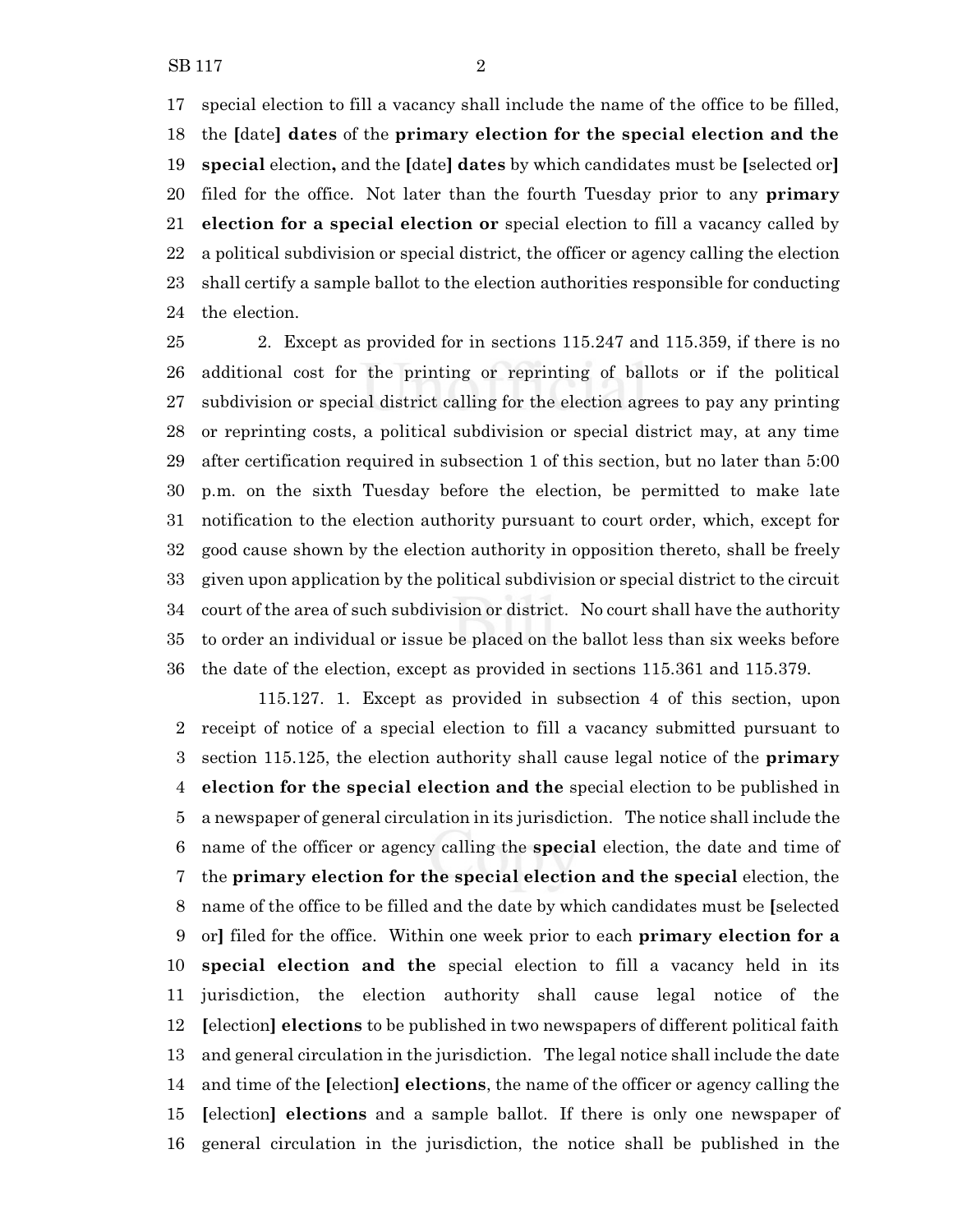special election to fill a vacancy shall include the name of the office to be filled, the **[**date**] dates** of the **primary election for the special election and the special** election**,** and the **[**date**] dates** by which candidates must be **[**selected or**]** filed for the office. Not later than the fourth Tuesday prior to any **primary election for a special election or** special election to fill a vacancy called by a political subdivision or special district, the officer or agency calling the election shall certify a sample ballot to the election authorities responsible for conducting the election.

 2. Except as provided for in sections 115.247 and 115.359, if there is no additional cost for the printing or reprinting of ballots or if the political subdivision or special district calling for the election agrees to pay any printing or reprinting costs, a political subdivision or special district may, at any time after certification required in subsection 1 of this section, but no later than 5:00 p.m. on the sixth Tuesday before the election, be permitted to make late notification to the election authority pursuant to court order, which, except for good cause shown by the election authority in opposition thereto, shall be freely given upon application by the political subdivision or special district to the circuit court of the area of such subdivision or district. No court shall have the authority to order an individual or issue be placed on the ballot less than six weeks before the date of the election, except as provided in sections 115.361 and 115.379.

115.127. 1. Except as provided in subsection 4 of this section, upon receipt of notice of a special election to fill a vacancy submitted pursuant to section 115.125, the election authority shall cause legal notice of the **primary election for the special election and the** special election to be published in a newspaper of general circulation in its jurisdiction. The notice shall include the name of the officer or agency calling the **special** election, the date and time of the **primary election for the special election and the special** election, the name of the office to be filled and the date by which candidates must be **[**selected or**]** filed for the office. Within one week prior to each **primary election for a special election and the** special election to fill a vacancy held in its jurisdiction, the election authority shall cause legal notice of the **[**election**] elections** to be published in two newspapers of different political faith and general circulation in the jurisdiction. The legal notice shall include the date and time of the **[**election**] elections**, the name of the officer or agency calling the **[**election**] elections** and a sample ballot. If there is only one newspaper of general circulation in the jurisdiction, the notice shall be published in the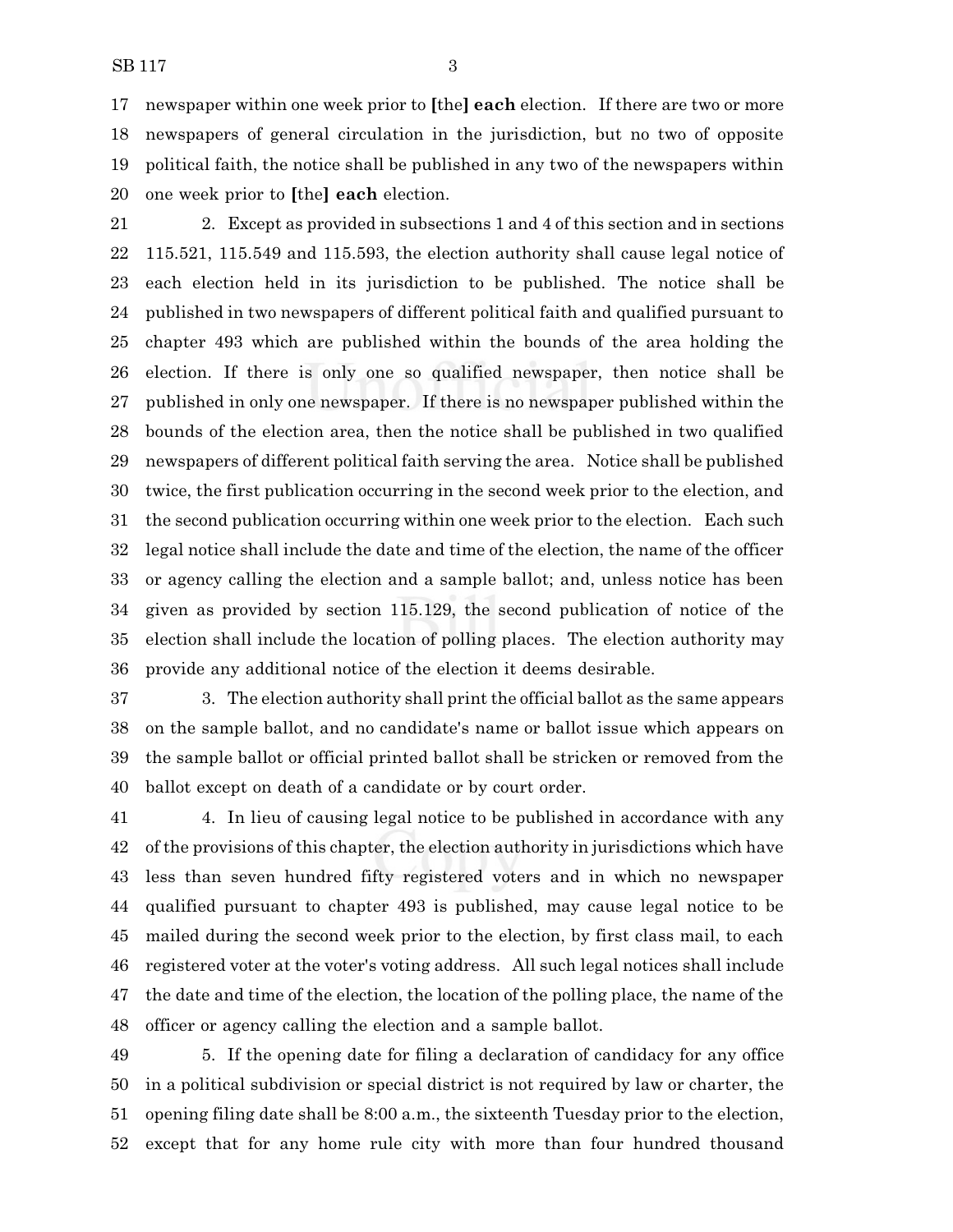newspaper within one week prior to **[**the**] each** election. If there are two or more newspapers of general circulation in the jurisdiction, but no two of opposite political faith, the notice shall be published in any two of the newspapers within one week prior to **[**the**] each** election.

 2. Except as provided in subsections 1 and 4 of this section and in sections 115.521, 115.549 and 115.593, the election authority shall cause legal notice of each election held in its jurisdiction to be published. The notice shall be published in two newspapers of different political faith and qualified pursuant to chapter 493 which are published within the bounds of the area holding the election. If there is only one so qualified newspaper, then notice shall be published in only one newspaper. If there is no newspaper published within the bounds of the election area, then the notice shall be published in two qualified newspapers of different political faith serving the area. Notice shall be published twice, the first publication occurring in the second week prior to the election, and the second publication occurring within one week prior to the election. Each such legal notice shall include the date and time of the election, the name of the officer or agency calling the election and a sample ballot; and, unless notice has been given as provided by section 115.129, the second publication of notice of the election shall include the location of polling places. The election authority may provide any additional notice of the election it deems desirable.

 3. The election authority shall print the official ballot as the same appears on the sample ballot, and no candidate's name or ballot issue which appears on the sample ballot or official printed ballot shall be stricken or removed from the ballot except on death of a candidate or by court order.

 4. In lieu of causing legal notice to be published in accordance with any of the provisions of this chapter, the election authority in jurisdictions which have less than seven hundred fifty registered voters and in which no newspaper qualified pursuant to chapter 493 is published, may cause legal notice to be mailed during the second week prior to the election, by first class mail, to each registered voter at the voter's voting address. All such legal notices shall include the date and time of the election, the location of the polling place, the name of the officer or agency calling the election and a sample ballot.

 5. If the opening date for filing a declaration of candidacy for any office in a political subdivision or special district is not required by law or charter, the opening filing date shall be 8:00 a.m., the sixteenth Tuesday prior to the election, except that for any home rule city with more than four hundred thousand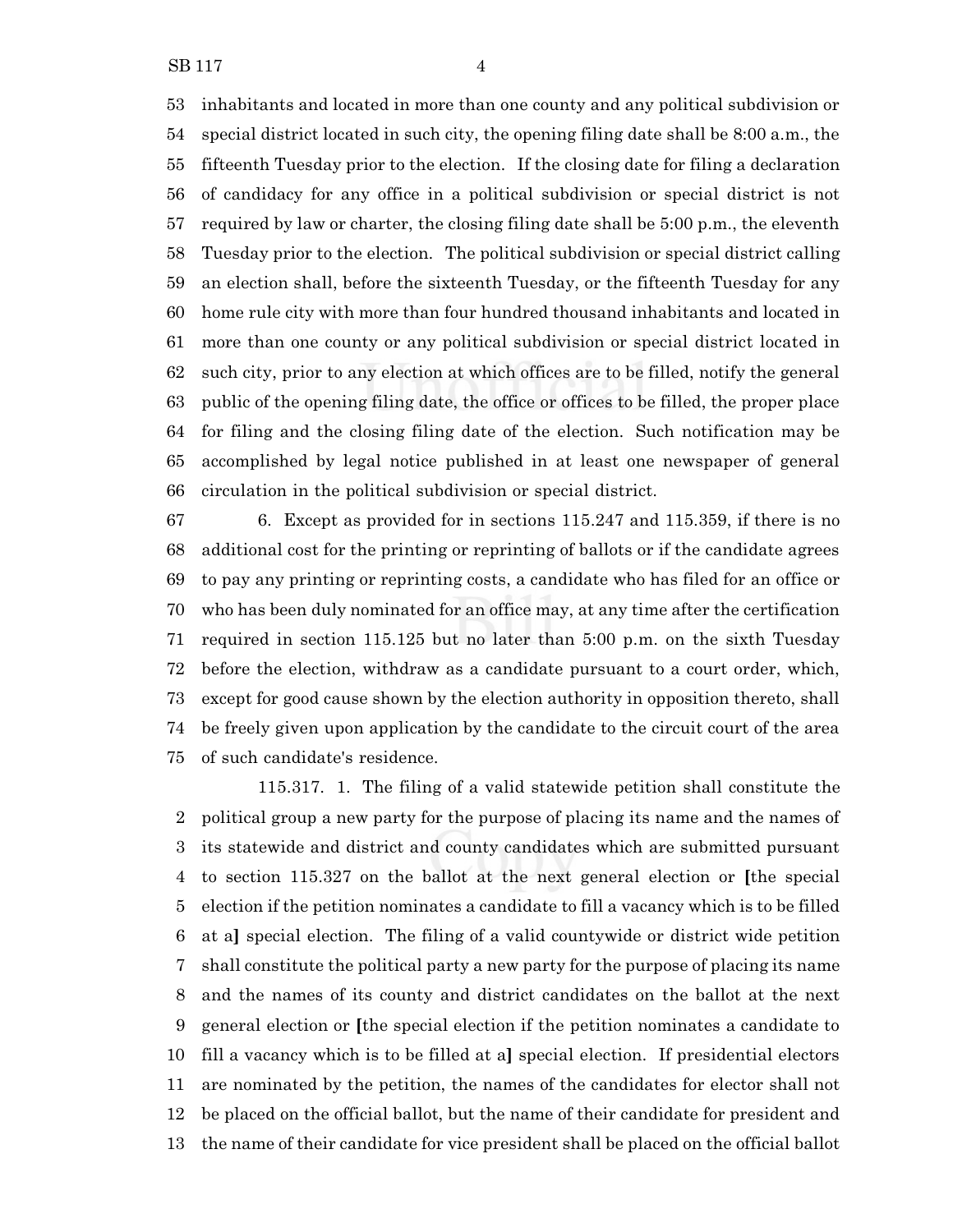inhabitants and located in more than one county and any political subdivision or special district located in such city, the opening filing date shall be 8:00 a.m., the fifteenth Tuesday prior to the election. If the closing date for filing a declaration of candidacy for any office in a political subdivision or special district is not required by law or charter, the closing filing date shall be 5:00 p.m., the eleventh Tuesday prior to the election. The political subdivision or special district calling an election shall, before the sixteenth Tuesday, or the fifteenth Tuesday for any home rule city with more than four hundred thousand inhabitants and located in more than one county or any political subdivision or special district located in such city, prior to any election at which offices are to be filled, notify the general public of the opening filing date, the office or offices to be filled, the proper place for filing and the closing filing date of the election. Such notification may be accomplished by legal notice published in at least one newspaper of general circulation in the political subdivision or special district.

 6. Except as provided for in sections 115.247 and 115.359, if there is no additional cost for the printing or reprinting of ballots or if the candidate agrees to pay any printing or reprinting costs, a candidate who has filed for an office or who has been duly nominated for an office may, at any time after the certification required in section 115.125 but no later than 5:00 p.m. on the sixth Tuesday before the election, withdraw as a candidate pursuant to a court order, which, except for good cause shown by the election authority in opposition thereto, shall be freely given upon application by the candidate to the circuit court of the area of such candidate's residence.

115.317. 1. The filing of a valid statewide petition shall constitute the political group a new party for the purpose of placing its name and the names of its statewide and district and county candidates which are submitted pursuant to section 115.327 on the ballot at the next general election or **[**the special election if the petition nominates a candidate to fill a vacancy which is to be filled at a**]** special election. The filing of a valid countywide or district wide petition shall constitute the political party a new party for the purpose of placing its name and the names of its county and district candidates on the ballot at the next general election or **[**the special election if the petition nominates a candidate to fill a vacancy which is to be filled at a**]** special election. If presidential electors are nominated by the petition, the names of the candidates for elector shall not be placed on the official ballot, but the name of their candidate for president and the name of their candidate for vice president shall be placed on the official ballot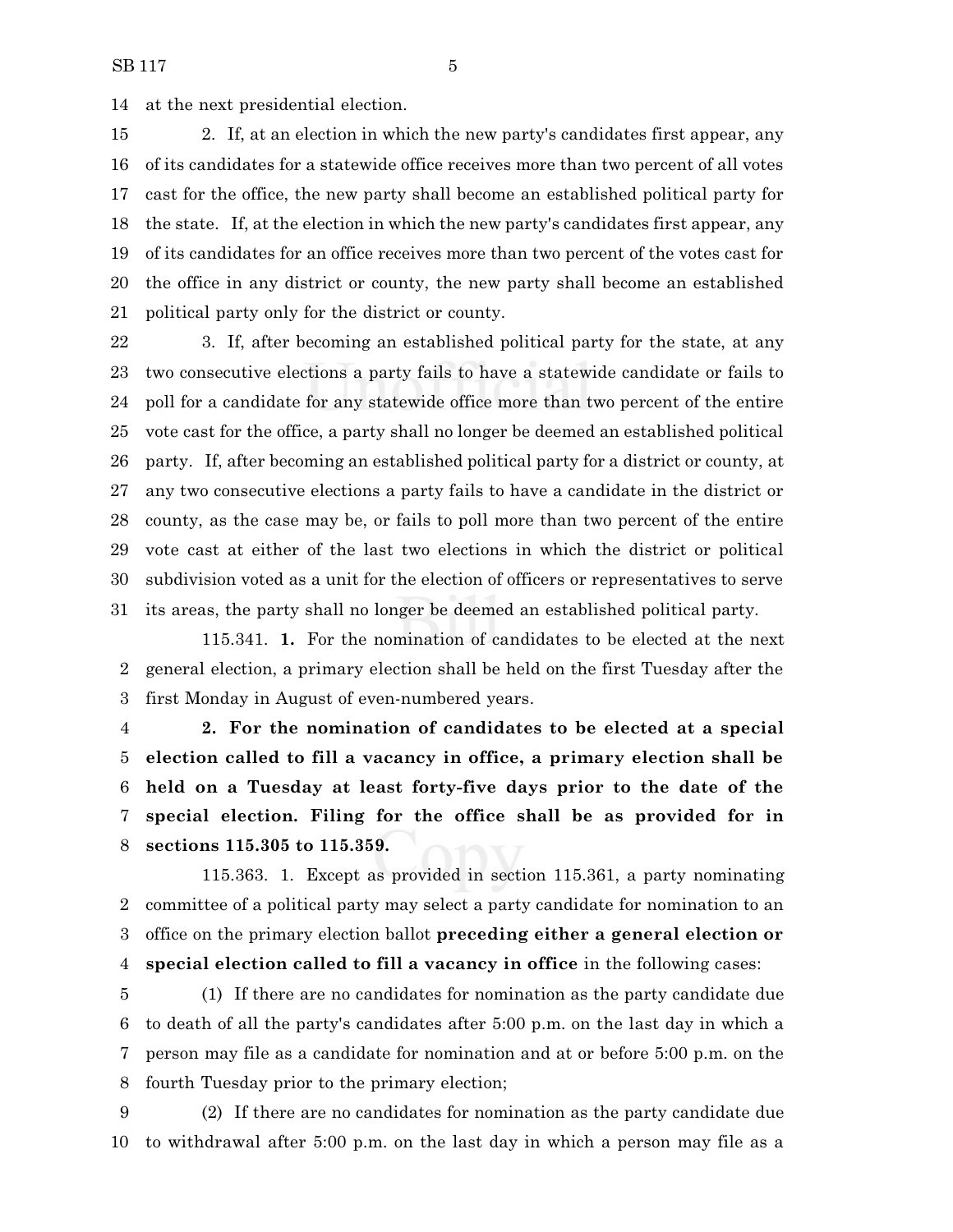at the next presidential election.

 2. If, at an election in which the new party's candidates first appear, any of its candidates for a statewide office receives more than two percent of all votes cast for the office, the new party shall become an established political party for the state. If, at the election in which the new party's candidates first appear, any of its candidates for an office receives more than two percent of the votes cast for the office in any district or county, the new party shall become an established political party only for the district or county.

 3. If, after becoming an established political party for the state, at any two consecutive elections a party fails to have a statewide candidate or fails to poll for a candidate for any statewide office more than two percent of the entire vote cast for the office, a party shall no longer be deemed an established political party. If, after becoming an established political party for a district or county, at any two consecutive elections a party fails to have a candidate in the district or county, as the case may be, or fails to poll more than two percent of the entire vote cast at either of the last two elections in which the district or political subdivision voted as a unit for the election of officers or representatives to serve its areas, the party shall no longer be deemed an established political party.

115.341. **1.** For the nomination of candidates to be elected at the next general election, a primary election shall be held on the first Tuesday after the first Monday in August of even-numbered years.

 **2. For the nomination of candidates to be elected at a special election called to fill a vacancy in office, a primary election shall be held on a Tuesday at least forty-five days prior to the date of the special election. Filing for the office shall be as provided for in sections 115.305 to 115.359.**

115.363. 1. Except as provided in section 115.361, a party nominating committee of a political party may select a party candidate for nomination to an office on the primary election ballot **preceding either a general election or special election called to fill a vacancy in office** in the following cases:

 (1) If there are no candidates for nomination as the party candidate due to death of all the party's candidates after 5:00 p.m. on the last day in which a person may file as a candidate for nomination and at or before 5:00 p.m. on the fourth Tuesday prior to the primary election;

 (2) If there are no candidates for nomination as the party candidate due to withdrawal after 5:00 p.m. on the last day in which a person may file as a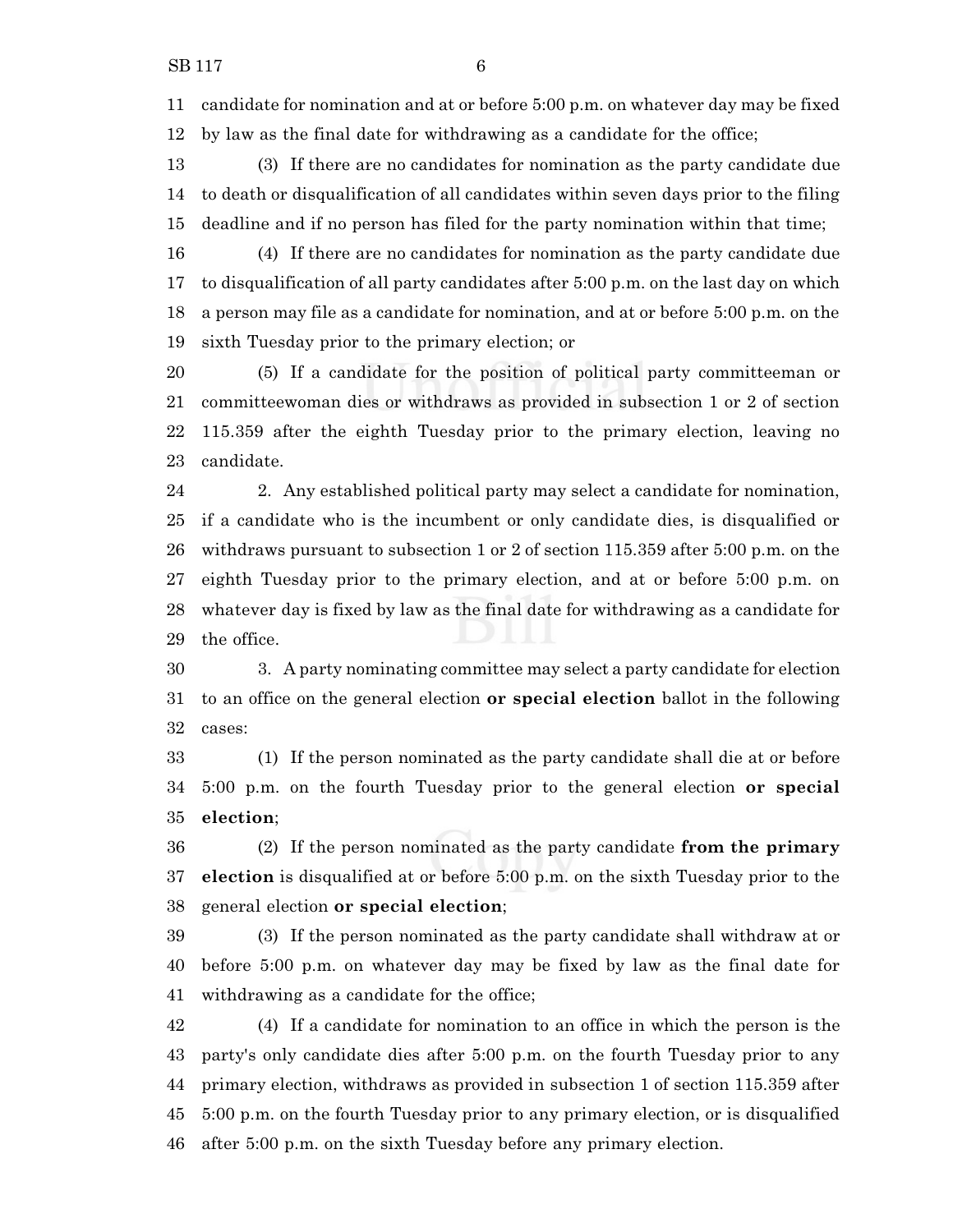candidate for nomination and at or before 5:00 p.m. on whatever day may be fixed by law as the final date for withdrawing as a candidate for the office;

 (3) If there are no candidates for nomination as the party candidate due to death or disqualification of all candidates within seven days prior to the filing deadline and if no person has filed for the party nomination within that time;

 (4) If there are no candidates for nomination as the party candidate due to disqualification of all party candidates after 5:00 p.m. on the last day on which a person may file as a candidate for nomination, and at or before 5:00 p.m. on the sixth Tuesday prior to the primary election; or

 (5) If a candidate for the position of political party committeeman or committeewoman dies or withdraws as provided in subsection 1 or 2 of section 115.359 after the eighth Tuesday prior to the primary election, leaving no candidate.

 2. Any established political party may select a candidate for nomination, if a candidate who is the incumbent or only candidate dies, is disqualified or withdraws pursuant to subsection 1 or 2 of section 115.359 after 5:00 p.m. on the eighth Tuesday prior to the primary election, and at or before 5:00 p.m. on whatever day is fixed by law as the final date for withdrawing as a candidate for the office.

 3. A party nominating committee may select a party candidate for election to an office on the general election **or special election** ballot in the following cases:

 (1) If the person nominated as the party candidate shall die at or before 5:00 p.m. on the fourth Tuesday prior to the general election **or special election**;

 (2) If the person nominated as the party candidate **from the primary election** is disqualified at or before 5:00 p.m. on the sixth Tuesday prior to the general election **or special election**;

 (3) If the person nominated as the party candidate shall withdraw at or before 5:00 p.m. on whatever day may be fixed by law as the final date for withdrawing as a candidate for the office;

 (4) If a candidate for nomination to an office in which the person is the party's only candidate dies after 5:00 p.m. on the fourth Tuesday prior to any primary election, withdraws as provided in subsection 1 of section 115.359 after 5:00 p.m. on the fourth Tuesday prior to any primary election, or is disqualified after 5:00 p.m. on the sixth Tuesday before any primary election.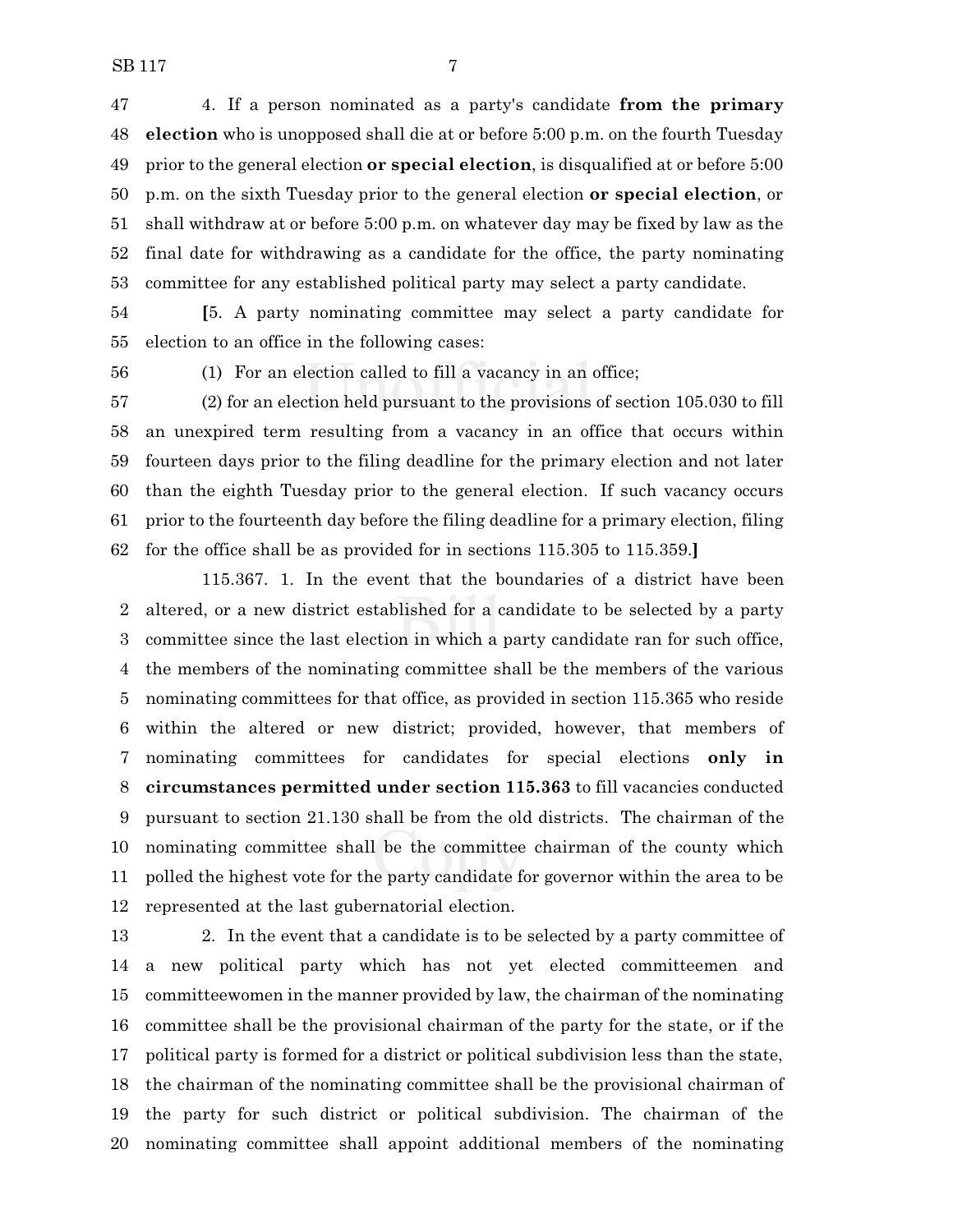4. If a person nominated as a party's candidate **from the primary election** who is unopposed shall die at or before 5:00 p.m. on the fourth Tuesday prior to the general election **or special election**, is disqualified at or before 5:00 p.m. on the sixth Tuesday prior to the general election **or special election**, or shall withdraw at or before 5:00 p.m. on whatever day may be fixed by law as the final date for withdrawing as a candidate for the office, the party nominating committee for any established political party may select a party candidate.

 **[**5. A party nominating committee may select a party candidate for election to an office in the following cases:

(1) For an election called to fill a vacancy in an office;

 (2) for an election held pursuant to the provisions of section 105.030 to fill an unexpired term resulting from a vacancy in an office that occurs within fourteen days prior to the filing deadline for the primary election and not later than the eighth Tuesday prior to the general election. If such vacancy occurs prior to the fourteenth day before the filing deadline for a primary election, filing for the office shall be as provided for in sections 115.305 to 115.359.**]**

115.367. 1. In the event that the boundaries of a district have been altered, or a new district established for a candidate to be selected by a party committee since the last election in which a party candidate ran for such office, the members of the nominating committee shall be the members of the various nominating committees for that office, as provided in section 115.365 who reside within the altered or new district; provided, however, that members of nominating committees for candidates for special elections **only in circumstances permitted under section 115.363** to fill vacancies conducted pursuant to section 21.130 shall be from the old districts. The chairman of the nominating committee shall be the committee chairman of the county which polled the highest vote for the party candidate for governor within the area to be represented at the last gubernatorial election.

 2. In the event that a candidate is to be selected by a party committee of a new political party which has not yet elected committeemen and committeewomen in the manner provided by law, the chairman of the nominating committee shall be the provisional chairman of the party for the state, or if the political party is formed for a district or political subdivision less than the state, the chairman of the nominating committee shall be the provisional chairman of the party for such district or political subdivision. The chairman of the nominating committee shall appoint additional members of the nominating